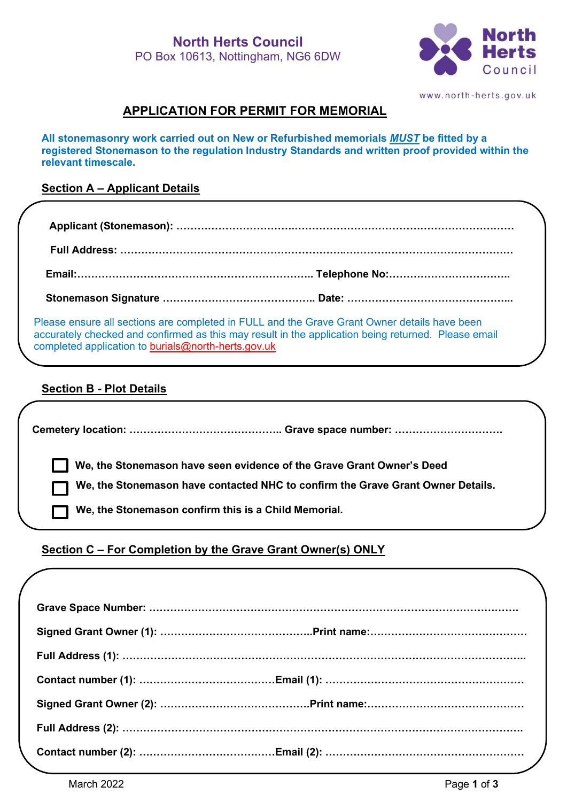

www.north-herts.gov.uk

# **APPLICATION FOR PERMIT FOR MEMORIAL**

**All stonemasonry work carried out on New or Refurbished memorials** *MUST* **be fitted by a registered Stonemason to the regulation Industry Standards and written proof provided within the relevant timescale.**

#### **Section A – Applicant Details**

Please ensure all sections are completed in FULL and the Grave Grant Owner details have been accurately checked and confirmed as this may result in the application being returned. Please email completed application to [burials@north-herts.gov.uk](mailto:burials@north-herts.gov.uk)

## **Section B - Plot Details**

| We, the Stonemason have seen evidence of the Grave Grant Owner's Deed           |
|---------------------------------------------------------------------------------|
| We, the Stonemason have contacted NHC to confirm the Grave Grant Owner Details. |
| We, the Stonemason confirm this is a Child Memorial.                            |
|                                                                                 |

## **Section C – For Completion by the Grave Grant Owner(s) ONLY**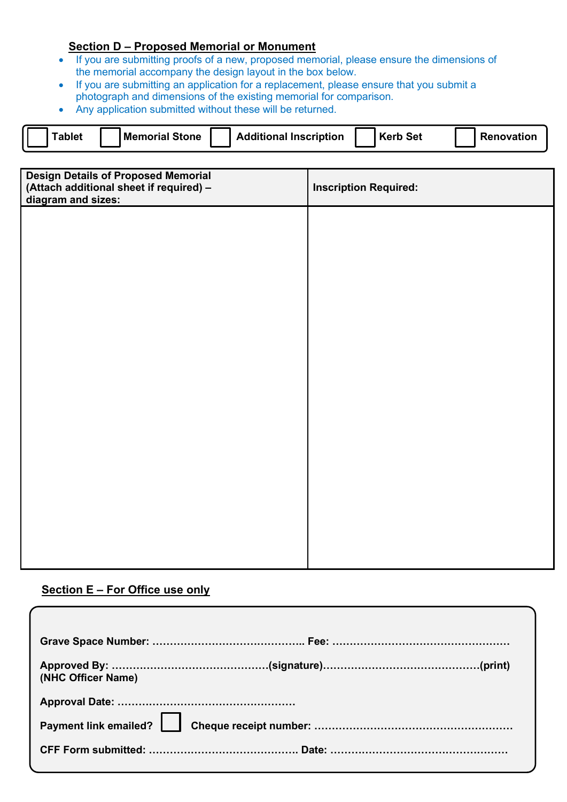# **Section D – Proposed Memorial or Monument**

- If you are submitting proofs of a new, proposed memorial, please ensure the dimensions of the memorial accompany the design layout in the box below.
- If you are submitting an application for a replacement, please ensure that you submit a photograph and dimensions of the existing memorial for comparison.
- Any application submitted without these will be returned.

| <b>Tablet</b>      | <b>Memorial Stone</b>                                                                 |  | <b>Additional Inscription</b> |  | <b>Kerb Set</b>              | Renovation |
|--------------------|---------------------------------------------------------------------------------------|--|-------------------------------|--|------------------------------|------------|
|                    |                                                                                       |  |                               |  |                              |            |
| diagram and sizes: | <b>Design Details of Proposed Memorial</b><br>(Attach additional sheet if required) - |  |                               |  | <b>Inscription Required:</b> |            |
|                    |                                                                                       |  |                               |  |                              |            |
|                    |                                                                                       |  |                               |  |                              |            |
|                    |                                                                                       |  |                               |  |                              |            |
|                    |                                                                                       |  |                               |  |                              |            |
|                    |                                                                                       |  |                               |  |                              |            |
|                    |                                                                                       |  |                               |  |                              |            |
|                    |                                                                                       |  |                               |  |                              |            |
|                    |                                                                                       |  |                               |  |                              |            |
|                    |                                                                                       |  |                               |  |                              |            |
|                    |                                                                                       |  |                               |  |                              |            |
|                    |                                                                                       |  |                               |  |                              |            |
|                    |                                                                                       |  |                               |  |                              |            |
|                    |                                                                                       |  |                               |  |                              |            |
|                    |                                                                                       |  |                               |  |                              |            |
|                    |                                                                                       |  |                               |  |                              |            |
|                    |                                                                                       |  |                               |  |                              |            |

## **Section E – For Office use only**

| (NHC Officer Name) |  |
|--------------------|--|
|                    |  |
|                    |  |
|                    |  |
|                    |  |